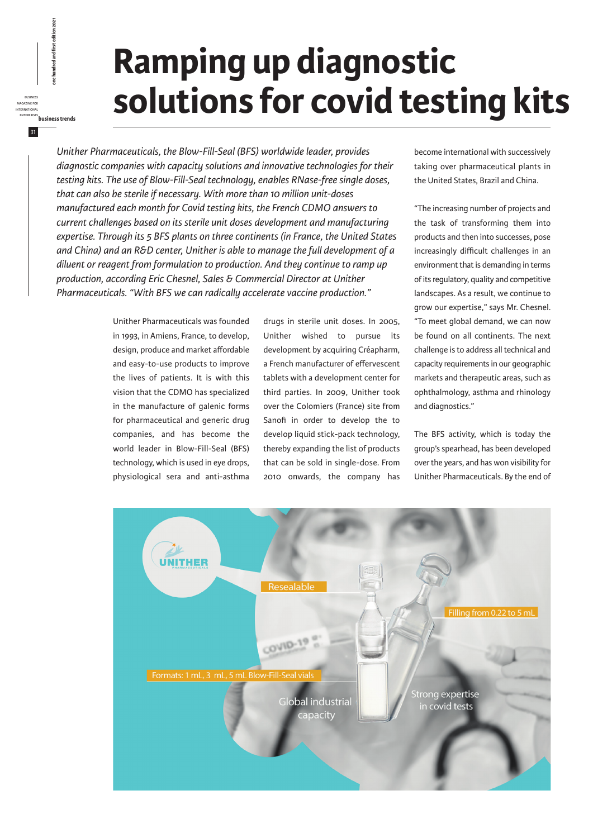## **Ramping up diagnostic solutions for covid testing kits**

*Unither Pharmaceuticals, the Blow-Fill-Seal (BFS) worldwide leader, provides diagnostic companies with capacity solutions and innovative technologies for their testing kits. The use of Blow-Fill-Seal technology, enables RNase-free single doses, that can also be sterile if necessary. With more than 10 million unit-doses manufactured each month for Covid testing kits, the French CDMO answers to current challenges based on its sterile unit doses development and manufacturing expertise. Through its 5 BFS plants on three continents (in France, the United States and China) and an R&D center, Unither is able to manage the full development of a diluent or reagent from formulation to production. And they continue to ramp up production, according Eric Chesnel, Sales & Commercial Director at Unither Pharmaceuticals. "With BFS we can radically accelerate vaccine production."*

> Unither Pharmaceuticals was founded in 1993, in Amiens, France, to develop, design, produce and market affordable and easy-to-use products to improve the lives of patients. It is with this vision that the CDMO has specialized in the manufacture of galenic forms for pharmaceutical and generic drug companies, and has become the world leader in Blow-Fill-Seal (BFS) technology, which is used in eye drops, physiological sera and anti-asthma

business magazine for international

31

enterprises<br>**business business free hundred and first edition 2021**<br>*business*<br>EMERINATONAL<br>ENTERPRISES<br>ENTERPRISES<br>ENTERPRISES

drugs in sterile unit doses. In 2005, Unither wished to pursue its development by acquiring Créapharm, a French manufacturer of effervescent tablets with a development center for third parties. In 2009, Unither took over the Colomiers (France) site from Sanofi in order to develop the to develop liquid stick-pack technology, thereby expanding the list of products that can be sold in single-dose. From 2010 onwards, the company has

become international with successively taking over pharmaceutical plants in the United States, Brazil and China.

"The increasing number of projects and the task of transforming them into products and then into successes, pose increasingly difficult challenges in an environment that is demanding in terms of its regulatory, quality and competitive landscapes. As a result, we continue to grow our expertise," says Mr. Chesnel. "To meet global demand, we can now be found on all continents. The next challenge is to address all technical and capacity requirements in our geographic markets and therapeutic areas, such as ophthalmology, asthma and rhinology and diagnostics."

The BFS activity, which is today the group's spearhead, has been developed over the years, and has won visibility for Unither Pharmaceuticals. By the end of